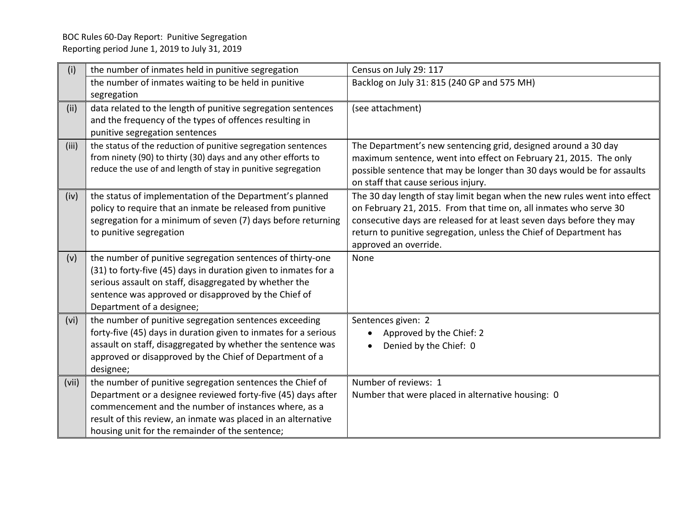| (i)   | the number of inmates held in punitive segregation                                                                        | Census on July 29: 117                                                    |
|-------|---------------------------------------------------------------------------------------------------------------------------|---------------------------------------------------------------------------|
|       | the number of inmates waiting to be held in punitive                                                                      | Backlog on July 31: 815 (240 GP and 575 MH)                               |
|       | segregation                                                                                                               |                                                                           |
| (ii)  | data related to the length of punitive segregation sentences                                                              | (see attachment)                                                          |
|       | and the frequency of the types of offences resulting in                                                                   |                                                                           |
|       | punitive segregation sentences                                                                                            |                                                                           |
| (iii) | the status of the reduction of punitive segregation sentences                                                             | The Department's new sentencing grid, designed around a 30 day            |
|       | from ninety (90) to thirty (30) days and any other efforts to                                                             | maximum sentence, went into effect on February 21, 2015. The only         |
|       | reduce the use of and length of stay in punitive segregation                                                              | possible sentence that may be longer than 30 days would be for assaults   |
|       |                                                                                                                           | on staff that cause serious injury.                                       |
| (iv)  | the status of implementation of the Department's planned                                                                  | The 30 day length of stay limit began when the new rules went into effect |
|       | policy to require that an inmate be released from punitive                                                                | on February 21, 2015. From that time on, all inmates who serve 30         |
|       | segregation for a minimum of seven (7) days before returning                                                              | consecutive days are released for at least seven days before they may     |
|       | to punitive segregation                                                                                                   | return to punitive segregation, unless the Chief of Department has        |
|       |                                                                                                                           | approved an override.                                                     |
| (v)   | the number of punitive segregation sentences of thirty-one                                                                | None                                                                      |
|       | (31) to forty-five (45) days in duration given to inmates for a                                                           |                                                                           |
|       | serious assault on staff, disaggregated by whether the                                                                    |                                                                           |
|       | sentence was approved or disapproved by the Chief of<br>Department of a designee;                                         |                                                                           |
|       |                                                                                                                           | Sentences given: 2                                                        |
| (vi)  | the number of punitive segregation sentences exceeding<br>forty-five (45) days in duration given to inmates for a serious | Approved by the Chief: 2                                                  |
|       | assault on staff, disaggregated by whether the sentence was                                                               | Denied by the Chief: 0                                                    |
|       | approved or disapproved by the Chief of Department of a                                                                   |                                                                           |
|       | designee;                                                                                                                 |                                                                           |
| (vii) | the number of punitive segregation sentences the Chief of                                                                 | Number of reviews: 1                                                      |
|       | Department or a designee reviewed forty-five (45) days after                                                              | Number that were placed in alternative housing: 0                         |
|       | commencement and the number of instances where, as a                                                                      |                                                                           |
|       | result of this review, an inmate was placed in an alternative                                                             |                                                                           |
|       | housing unit for the remainder of the sentence;                                                                           |                                                                           |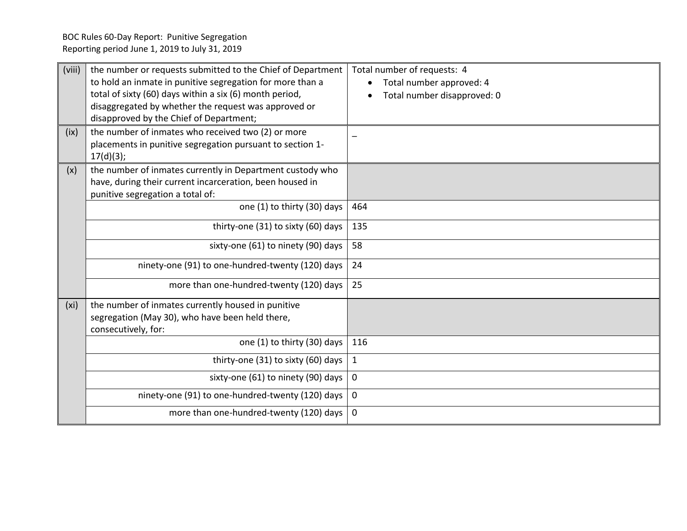| (viii)<br>(ix)    | the number or requests submitted to the Chief of Department<br>to hold an inmate in punitive segregation for more than a<br>total of sixty (60) days within a six (6) month period,<br>disaggregated by whether the request was approved or<br>disapproved by the Chief of Department;<br>the number of inmates who received two (2) or more<br>placements in punitive segregation pursuant to section 1- | Total number of requests: 4<br>Total number approved: 4<br>Total number disapproved: 0 |
|-------------------|-----------------------------------------------------------------------------------------------------------------------------------------------------------------------------------------------------------------------------------------------------------------------------------------------------------------------------------------------------------------------------------------------------------|----------------------------------------------------------------------------------------|
| (x)               | 17(d)(3);<br>the number of inmates currently in Department custody who<br>have, during their current incarceration, been housed in<br>punitive segregation a total of:<br>one (1) to thirty (30) days                                                                                                                                                                                                     | 464                                                                                    |
|                   | thirty-one (31) to sixty (60) days                                                                                                                                                                                                                                                                                                                                                                        | 135                                                                                    |
|                   | sixty-one (61) to ninety (90) days                                                                                                                                                                                                                                                                                                                                                                        | 58                                                                                     |
|                   | ninety-one (91) to one-hundred-twenty (120) days                                                                                                                                                                                                                                                                                                                                                          | 24                                                                                     |
|                   | more than one-hundred-twenty (120) days                                                                                                                                                                                                                                                                                                                                                                   | 25                                                                                     |
| (x <sub>i</sub> ) | the number of inmates currently housed in punitive<br>segregation (May 30), who have been held there,<br>consecutively, for:                                                                                                                                                                                                                                                                              |                                                                                        |
|                   | one (1) to thirty (30) days                                                                                                                                                                                                                                                                                                                                                                               | 116                                                                                    |
|                   | thirty-one (31) to sixty (60) days                                                                                                                                                                                                                                                                                                                                                                        | 1                                                                                      |
|                   | sixty-one (61) to ninety (90) days                                                                                                                                                                                                                                                                                                                                                                        | $\mathbf 0$                                                                            |
|                   | ninety-one (91) to one-hundred-twenty (120) days                                                                                                                                                                                                                                                                                                                                                          | $\mathbf 0$                                                                            |
|                   | more than one-hundred-twenty (120) days                                                                                                                                                                                                                                                                                                                                                                   | $\mathbf 0$                                                                            |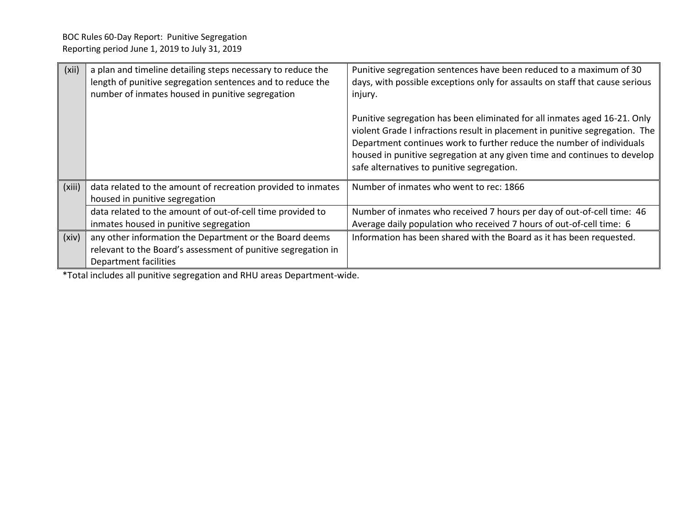| (xii)  | a plan and timeline detailing steps necessary to reduce the<br>length of punitive segregation sentences and to reduce the<br>number of inmates housed in punitive segregation | Punitive segregation sentences have been reduced to a maximum of 30<br>days, with possible exceptions only for assaults on staff that cause serious<br>injury.                                                                                                                                                                                                |
|--------|-------------------------------------------------------------------------------------------------------------------------------------------------------------------------------|---------------------------------------------------------------------------------------------------------------------------------------------------------------------------------------------------------------------------------------------------------------------------------------------------------------------------------------------------------------|
|        |                                                                                                                                                                               | Punitive segregation has been eliminated for all inmates aged 16-21. Only<br>violent Grade I infractions result in placement in punitive segregation. The<br>Department continues work to further reduce the number of individuals<br>housed in punitive segregation at any given time and continues to develop<br>safe alternatives to punitive segregation. |
| (xiii) | data related to the amount of recreation provided to inmates<br>housed in punitive segregation                                                                                | Number of inmates who went to rec: 1866                                                                                                                                                                                                                                                                                                                       |
|        | data related to the amount of out-of-cell time provided to<br>inmates housed in punitive segregation                                                                          | Number of inmates who received 7 hours per day of out-of-cell time: 46<br>Average daily population who received 7 hours of out-of-cell time: 6                                                                                                                                                                                                                |
| (xiv)  | any other information the Department or the Board deems<br>relevant to the Board's assessment of punitive segregation in<br>Department facilities                             | Information has been shared with the Board as it has been requested.                                                                                                                                                                                                                                                                                          |

\*Total includes all punitive segregation and RHU areas Department-wide.